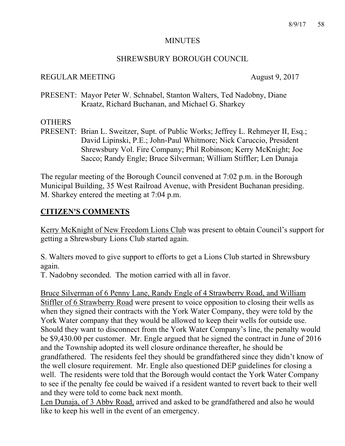#### MINUTES

#### SHREWSBURY BOROUGH COUNCIL

#### REGULAR MEETING August 9, 2017

PRESENT: Mayor Peter W. Schnabel, Stanton Walters, Ted Nadobny, Diane Kraatz, Richard Buchanan, and Michael G. Sharkey

#### **OTHERS**

PRESENT: Brian L. Sweitzer, Supt. of Public Works; Jeffrey L. Rehmeyer II, Esq.; David Lipinski, P.E.; John-Paul Whitmore; Nick Caruccio, President Shrewsbury Vol. Fire Company; Phil Robinson; Kerry McKnight; Joe Sacco; Randy Engle; Bruce Silverman; William Stiffler; Len Dunaja

The regular meeting of the Borough Council convened at 7:02 p.m. in the Borough Municipal Building, 35 West Railroad Avenue, with President Buchanan presiding. M. Sharkey entered the meeting at 7:04 p.m.

### **CITIZEN'S COMMENTS**

Kerry McKnight of New Freedom Lions Club was present to obtain Council's support for getting a Shrewsbury Lions Club started again.

S. Walters moved to give support to efforts to get a Lions Club started in Shrewsbury again.

T. Nadobny seconded. The motion carried with all in favor.

Bruce Silverman of 6 Penny Lane, Randy Engle of 4 Strawberry Road, and William Stiffler of 6 Strawberry Road were present to voice opposition to closing their wells as when they signed their contracts with the York Water Company, they were told by the York Water company that they would be allowed to keep their wells for outside use. Should they want to disconnect from the York Water Company's line, the penalty would be \$9,430.00 per customer. Mr. Engle argued that he signed the contract in June of 2016 and the Township adopted its well closure ordinance thereafter, he should be grandfathered. The residents feel they should be grandfathered since they didn't know of the well closure requirement. Mr. Engle also questioned DEP guidelines for closing a well. The residents were told that the Borough would contact the York Water Company to see if the penalty fee could be waived if a resident wanted to revert back to their well and they were told to come back next month.

Len Dunaja, of 3 Abby Road, arrived and asked to be grandfathered and also he would like to keep his well in the event of an emergency.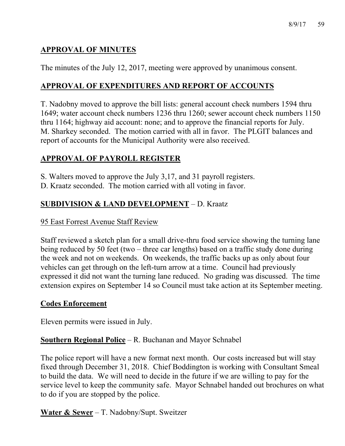# **APPROVAL OF MINUTES**

The minutes of the July 12, 2017, meeting were approved by unanimous consent.

# **APPROVAL OF EXPENDITURES AND REPORT OF ACCOUNTS**

T. Nadobny moved to approve the bill lists: general account check numbers 1594 thru 1649; water account check numbers 1236 thru 1260; sewer account check numbers 1150 thru 1164; highway aid account: none; and to approve the financial reports for July. M. Sharkey seconded. The motion carried with all in favor. The PLGIT balances and report of accounts for the Municipal Authority were also received.

# **APPROVAL OF PAYROLL REGISTER**

S. Walters moved to approve the July 3,17, and 31 payroll registers.

D. Kraatz seconded. The motion carried with all voting in favor.

# **SUBDIVISION & LAND DEVELOPMENT** – D. Kraatz

### 95 East Forrest Avenue Staff Review

Staff reviewed a sketch plan for a small drive-thru food service showing the turning lane being reduced by 50 feet (two – three car lengths) based on a traffic study done during the week and not on weekends. On weekends, the traffic backs up as only about four vehicles can get through on the left-turn arrow at a time. Council had previously expressed it did not want the turning lane reduced. No grading was discussed. The time extension expires on September 14 so Council must take action at its September meeting.

#### **Codes Enforcement**

Eleven permits were issued in July.

## **Southern Regional Police** – R. Buchanan and Mayor Schnabel

The police report will have a new format next month. Our costs increased but will stay fixed through December 31, 2018. Chief Boddington is working with Consultant Smeal to build the data. We will need to decide in the future if we are willing to pay for the service level to keep the community safe. Mayor Schnabel handed out brochures on what to do if you are stopped by the police.

**Water & Sewer** – T. Nadobny/Supt. Sweitzer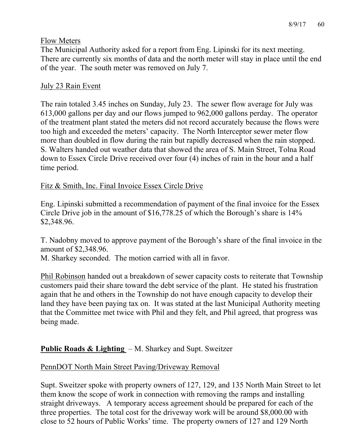### Flow Meters

The Municipal Authority asked for a report from Eng. Lipinski for its next meeting. There are currently six months of data and the north meter will stay in place until the end of the year. The south meter was removed on July 7.

## July 23 Rain Event

The rain totaled 3.45 inches on Sunday, July 23. The sewer flow average for July was 613,000 gallons per day and our flows jumped to 962,000 gallons perday. The operator of the treatment plant stated the meters did not record accurately because the flows were too high and exceeded the meters' capacity. The North Interceptor sewer meter flow more than doubled in flow during the rain but rapidly decreased when the rain stopped. S. Walters handed out weather data that showed the area of S. Main Street, Tolna Road down to Essex Circle Drive received over four (4) inches of rain in the hour and a half time period.

## Fitz & Smith, Inc. Final Invoice Essex Circle Drive

Eng. Lipinski submitted a recommendation of payment of the final invoice for the Essex Circle Drive job in the amount of \$16,778.25 of which the Borough's share is 14% \$2,348.96.

T. Nadobny moved to approve payment of the Borough's share of the final invoice in the amount of \$2,348.96.

M. Sharkey seconded. The motion carried with all in favor.

Phil Robinson handed out a breakdown of sewer capacity costs to reiterate that Township customers paid their share toward the debt service of the plant. He stated his frustration again that he and others in the Township do not have enough capacity to develop their land they have been paying tax on. It was stated at the last Municipal Authority meeting that the Committee met twice with Phil and they felt, and Phil agreed, that progress was being made.

# **Public Roads & Lighting** – M. Sharkey and Supt. Sweitzer

## PennDOT North Main Street Paving/Driveway Removal

Supt. Sweitzer spoke with property owners of 127, 129, and 135 North Main Street to let them know the scope of work in connection with removing the ramps and installing straight driveways. A temporary access agreement should be prepared for each of the three properties. The total cost for the driveway work will be around \$8,000.00 with close to 52 hours of Public Works' time. The property owners of 127 and 129 North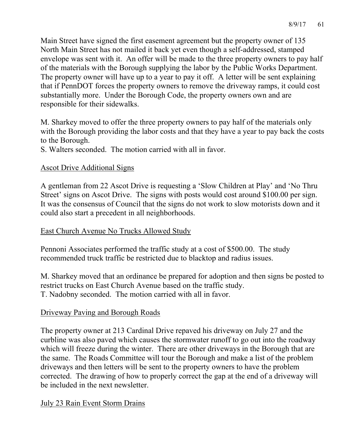Main Street have signed the first easement agreement but the property owner of 135 North Main Street has not mailed it back yet even though a self-addressed, stamped envelope was sent with it. An offer will be made to the three property owners to pay half of the materials with the Borough supplying the labor by the Public Works Department. The property owner will have up to a year to pay it off. A letter will be sent explaining that if PennDOT forces the property owners to remove the driveway ramps, it could cost substantially more. Under the Borough Code, the property owners own and are responsible for their sidewalks.

M. Sharkey moved to offer the three property owners to pay half of the materials only with the Borough providing the labor costs and that they have a year to pay back the costs to the Borough.

S. Walters seconded. The motion carried with all in favor.

### Ascot Drive Additional Signs

A gentleman from 22 Ascot Drive is requesting a 'Slow Children at Play' and 'No Thru Street' signs on Ascot Drive. The signs with posts would cost around \$100.00 per sign. It was the consensus of Council that the signs do not work to slow motorists down and it could also start a precedent in all neighborhoods.

East Church Avenue No Trucks Allowed Study

Pennoni Associates performed the traffic study at a cost of \$500.00. The study recommended truck traffic be restricted due to blacktop and radius issues.

M. Sharkey moved that an ordinance be prepared for adoption and then signs be posted to restrict trucks on East Church Avenue based on the traffic study. T. Nadobny seconded. The motion carried with all in favor.

## Driveway Paving and Borough Roads

The property owner at 213 Cardinal Drive repaved his driveway on July 27 and the curbline was also paved which causes the stormwater runoff to go out into the roadway which will freeze during the winter. There are other driveways in the Borough that are the same. The Roads Committee will tour the Borough and make a list of the problem driveways and then letters will be sent to the property owners to have the problem corrected. The drawing of how to properly correct the gap at the end of a driveway will be included in the next newsletter.

## July 23 Rain Event Storm Drains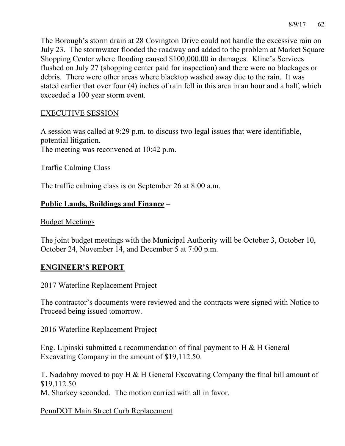The Borough's storm drain at 28 Covington Drive could not handle the excessive rain on July 23. The stormwater flooded the roadway and added to the problem at Market Square Shopping Center where flooding caused \$100,000.00 in damages. Kline's Services flushed on July 27 (shopping center paid for inspection) and there were no blockages or debris. There were other areas where blacktop washed away due to the rain. It was stated earlier that over four (4) inches of rain fell in this area in an hour and a half, which exceeded a 100 year storm event.

### EXECUTIVE SESSION

A session was called at 9:29 p.m. to discuss two legal issues that were identifiable, potential litigation. The meeting was reconvened at 10:42 p.m.

Traffic Calming Class

The traffic calming class is on September 26 at 8:00 a.m.

## **Public Lands, Buildings and Finance** –

Budget Meetings

The joint budget meetings with the Municipal Authority will be October 3, October 10, October 24, November 14, and December 5 at 7:00 p.m.

## **ENGINEER'S REPORT**

#### 2017 Waterline Replacement Project

The contractor's documents were reviewed and the contracts were signed with Notice to Proceed being issued tomorrow.

#### 2016 Waterline Replacement Project

Eng. Lipinski submitted a recommendation of final payment to H & H General Excavating Company in the amount of \$19,112.50.

T. Nadobny moved to pay H & H General Excavating Company the final bill amount of \$19,112.50.

M. Sharkey seconded. The motion carried with all in favor.

#### PennDOT Main Street Curb Replacement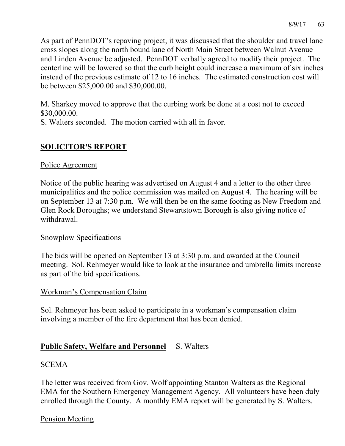As part of PennDOT's repaving project, it was discussed that the shoulder and travel lane cross slopes along the north bound lane of North Main Street between Walnut Avenue and Linden Avenue be adjusted. PennDOT verbally agreed to modify their project. The centerline will be lowered so that the curb height could increase a maximum of six inches instead of the previous estimate of 12 to 16 inches. The estimated construction cost will be between \$25,000.00 and \$30,000.00.

M. Sharkey moved to approve that the curbing work be done at a cost not to exceed \$30,000.00.

S. Walters seconded. The motion carried with all in favor.

# **SOLICITOR'S REPORT**

### Police Agreement

Notice of the public hearing was advertised on August 4 and a letter to the other three municipalities and the police commission was mailed on August 4. The hearing will be on September 13 at 7:30 p.m. We will then be on the same footing as New Freedom and Glen Rock Boroughs; we understand Stewartstown Borough is also giving notice of withdrawal.

#### Snowplow Specifications

The bids will be opened on September 13 at 3:30 p.m. and awarded at the Council meeting. Sol. Rehmeyer would like to look at the insurance and umbrella limits increase as part of the bid specifications.

#### Workman's Compensation Claim

Sol. Rehmeyer has been asked to participate in a workman's compensation claim involving a member of the fire department that has been denied.

# **Public Safety, Welfare and Personnel** – S. Walters

#### SCEMA

The letter was received from Gov. Wolf appointing Stanton Walters as the Regional EMA for the Southern Emergency Management Agency. All volunteers have been duly enrolled through the County. A monthly EMA report will be generated by S. Walters.

## Pension Meeting